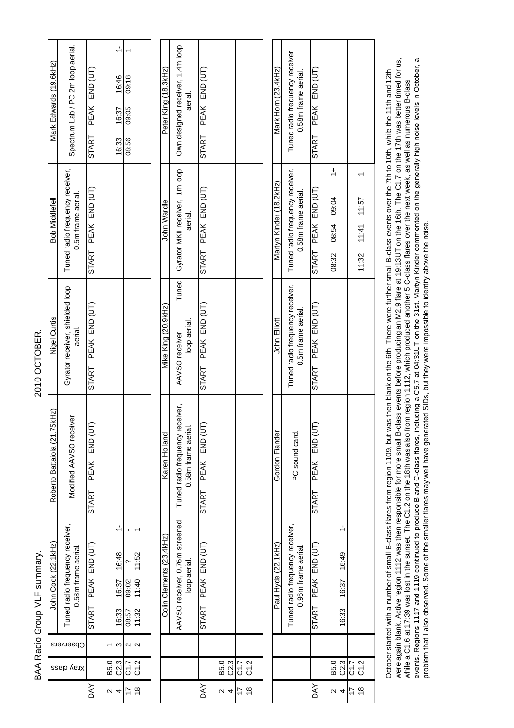| Mark Edwards (19.6kHz)<br><b>Bob Middlefell</b> | Spectrum Lab / PC 2m loop aerial.<br>Tuned radio frequency receiver,<br>0.5m frame aerial. | PEAK END (UT)<br><b>START</b><br>START PEAK END (UT) | $\frac{1}{2}$<br>16:46<br>16:37<br>16:33 | 09:18<br>09:05<br>08:56 |                                                                       | Peter King (18.3kHz)<br>John Wardle | Own designed receiver, 1.4m loop<br>aerial.<br>Gyrator MKII receiver, 1m loop<br>aerial. | PEAK END (UT)<br>START<br>PEAK END (UT) |              |                     | Mark Horn (23.4kHz)<br>Martyn Kinder (18.2kHz) | Tuned radio frequency receiver,<br>0.58m frame aerial.<br>Tuned radio frequency receiver,<br>0.58m frame aerial. | PEAK END (UT)<br><b>START</b><br>PEAK END (UT) | $\div$<br>08:54 09:04                    |                        |
|-------------------------------------------------|--------------------------------------------------------------------------------------------|------------------------------------------------------|------------------------------------------|-------------------------|-----------------------------------------------------------------------|-------------------------------------|------------------------------------------------------------------------------------------|-----------------------------------------|--------------|---------------------|------------------------------------------------|------------------------------------------------------------------------------------------------------------------|------------------------------------------------|------------------------------------------|------------------------|
|                                                 |                                                                                            |                                                      |                                          |                         |                                                                       |                                     |                                                                                          | START                                   |              |                     |                                                |                                                                                                                  | <b>START</b>                                   | 08:32                                    | $11:41$ 11:57<br>11:32 |
| Nigel Curtis                                    | Gyrator receiver, shielded loop<br>aerial.                                                 | PEAK END (UT)<br><b>START</b>                        |                                          |                         |                                                                       | Mike King (20.9kHz)                 | Tuned<br>loop aerial.<br>AAVSO receiver.                                                 | PEAK END (UT)<br>START                  |              |                     | John Elliott                                   | Tuned radio frequency receiver,<br>0.5m frame aerial.                                                            | PEAK END (UT)<br>START                         |                                          |                        |
| Roberto Battaiola (21.75kHz)                    | Modified AAVSO receiver.                                                                   | ╒<br>PEAK END (U<br><b>START</b>                     |                                          |                         |                                                                       | Karen Holland                       | Tuned radio frequency receiver,<br>0.58m frame aerial.                                   | F<br>PEAK END (UT<br><b>START</b>       |              |                     | Gordon Fiander                                 | PC sound card.                                                                                                   | <b>END (U</b><br><b>PEAK</b><br><b>START</b>   |                                          |                        |
| John Cook (22.1kHz)                             | Tuned radio frequency receiver,<br>0.58m frame aerial.                                     | PEAK END (UT)<br><b>START</b>                        | $\frac{1}{2}$<br>16:48<br>16:37<br>16:33 |                         | $\overline{\phantom{0}}$<br>11:52<br>09:02<br>11:40<br>11.32<br>11.32 | Colin Clements (23.4kHz)            | AAVSO receiver, 0.76m screened<br>loop aerial.                                           | PEAK END (UT)<br>START                  |              |                     | Paul Hyde (22.1kHz)                            | Tuned radio frequency receiver,<br>0.96m frame aerial.                                                           | PEAK END (UT)<br><b>START</b>                  | $\frac{1}{2}$<br>16:49<br>16:37<br>16:33 |                        |
| Observers                                       |                                                                                            |                                                      | S                                        |                         | $\sim$ $\sim$                                                         |                                     |                                                                                          |                                         |              |                     |                                                |                                                                                                                  |                                                |                                          |                        |
|                                                 | Xray class                                                                                 |                                                      | C2.3<br>B5.0                             |                         | C 7<br>C 7<br>C 7                                                     |                                     |                                                                                          |                                         | C2.3<br>B5.0 | C 7<br>C 7<br>C 7   |                                                |                                                                                                                  |                                                | B5.3<br>C2.3                             | C 7<br>C 7<br>C 7      |
|                                                 |                                                                                            | λX                                                   | $\sim$ 4                                 | 17                      | $\frac{8}{5}$                                                         |                                     |                                                                                          | <b>AY</b>                               | $\alpha$ 4   | $\frac{8}{1}$<br>17 |                                                |                                                                                                                  | <b>AVO</b>                                     | $\mathbf 2$<br>$\overline{4}$            | $\frac{8}{1}$<br>17    |

BAA Radio Group VLF summary. 2010 OCTOBER.

BAA Radio Group VLF summary.

2010 OCTOBER.

while a C1.6 at 17:39 was lost in the sunset. The C1.2 on the 18th was also from region 1112, which produced another 5 C-class flares over the next week, as well as numerous B-class<br>events. Regions 1117 and 1119 continued October started with a number of small B-class flares from region 1109, but was then blank on the 6th. There were further small B-class events over the 7th to 10th, while the 11th and 12th<br>were again blank. Active region 1 were again blank. Active region 1112 was then responsible for more small B-class events before producing an M2.9 flare at 19:13UT on the 16th. The C1.7 on the 17th was better timed for us, events. Regions 1117 and 1119 continued to produce B and C-class flares, including a C5.7 at 04:31UT on the 31st. Martyn Kinder commented on the generally high noise levels in October, a October started with a number of small B-class flares from region 1109, but was then blank on the 6th. There were further small B-class events over the 7th to 10th, while the 11th and 12th while a C1.6 at 17:39 was lost in the sunset. The C1.2 on the 18th was also from region 1112, which produced another 5 C-class flares over the next week, as well as numerous B-class problem that I also observed. Some of the smaller flares may well have generated SIDs, but they were impossible to identify above the noise.